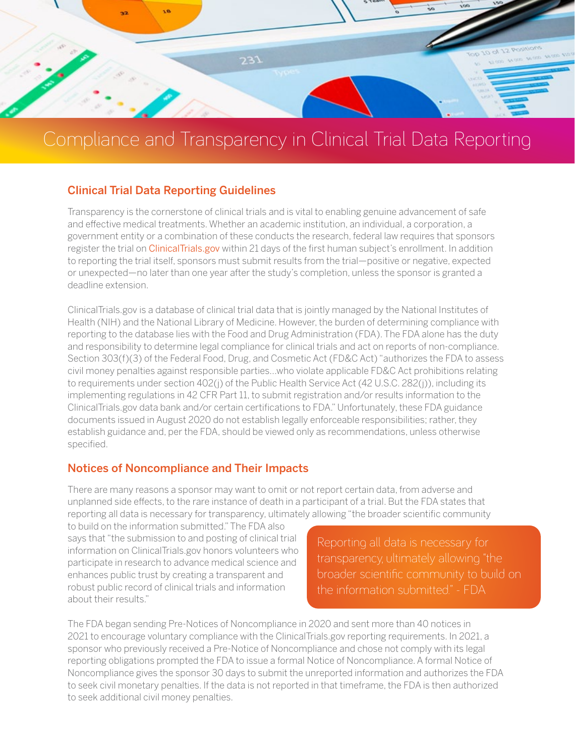

# Compliance and Transparency in Clinical Trial Data Reporting

## Clinical Trial Data Reporting Guidelines

Transparency is the cornerstone of clinical trials and is vital to enabling genuine advancement of safe and effective medical treatments. Whether an academic institution, an individual, a corporation, a government entity or a combination of these conducts the research, federal law requires that sponsors register the trial on ClinicalTrials.gov within 21 days of the first human subject's enrollment. In addition to reporting the trial itself, sponsors must submit results from the trial—positive or negative, expected or unexpected—no later than one year after the study's completion, unless the sponsor is granted a deadline extension.

ClinicalTrials.gov is a database of clinical trial data that is jointly managed by the National Institutes of Health (NIH) and the National Library of Medicine. However, the burden of determining compliance with reporting to the database lies with the Food and Drug Administration (FDA). The FDA alone has the duty and responsibility to determine legal compliance for clinical trials and act on reports of non-compliance. Section 303(f)(3) of the Federal Food, Drug, and Cosmetic Act (FD&C Act) "authorizes the FDA to assess civil money penalties against responsible parties…who violate applicable FD&C Act prohibitions relating to requirements under section 402(j) of the Public Health Service Act (42 U.S.C. 282(j)), including its implementing regulations in 42 CFR Part 11, to submit registration and/or results information to the ClinicalTrials.gov data bank and/or certain certifications to FDA." Unfortunately, these FDA guidance documents issued in August 2020 do not establish legally enforceable responsibilities; rather, they establish guidance and, per the FDA, should be viewed only as recommendations, unless otherwise specified.

#### Notices of Noncompliance and Their Impacts

There are many reasons a sponsor may want to omit or not report certain data, from adverse and unplanned side effects, to the rare instance of death in a participant of a trial. But the FDA states that reporting all data is necessary for transparency, ultimately allowing "the broader scientific community

to build on the information submitted." The FDA also says that "the submission to and posting of clinical trial information on ClinicalTrials.gov honors volunteers who participate in research to advance medical science and enhances public trust by creating a transparent and robust public record of clinical trials and information about their results."

Reporting all data is necessary for transparency, ultimately allowing "the broader scientific community to build on the information submitted." - FDA

The FDA began sending Pre-Notices of Noncompliance in 2020 and sent more than 40 notices in 2021 to encourage voluntary compliance with the ClinicalTrials.gov reporting requirements. In 2021, a sponsor who previously received a Pre-Notice of Noncompliance and chose not comply with its legal reporting obligations prompted the FDA to issue a formal Notice of Noncompliance. A formal Notice of Noncompliance gives the sponsor 30 days to submit the unreported information and authorizes the FDA to seek civil monetary penalties. If the data is not reported in that timeframe, the FDA is then authorized to seek additional civil money penalties.